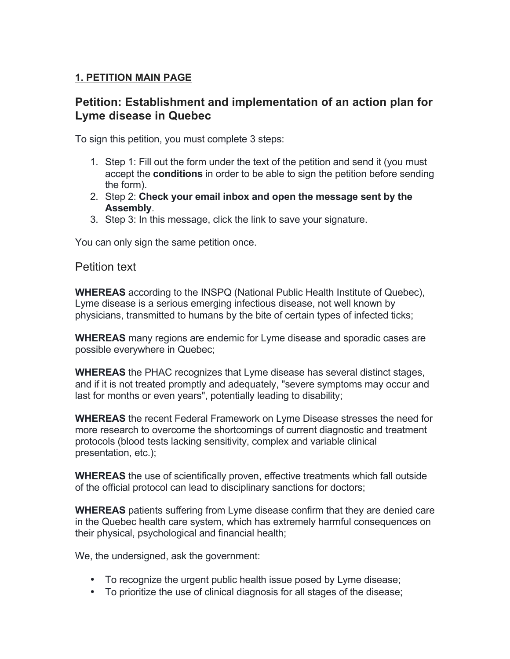## **1. PETITION MAIN PAGE**

# **Petition: Establishment and implementation of an action plan for Lyme disease in Quebec**

To sign this petition, you must complete 3 steps:

- 1. Step 1: Fill out the form under the text of the petition and send it (you must accept the **conditions** in order to be able to sign the petition before sending the form).
- 2. Step 2: **Check your email inbox and open the message sent by the Assembly**.
- 3. Step 3: In this message, click the link to save your signature.

You can only sign the same petition once.

### Petition text

**WHEREAS** according to the INSPQ (National Public Health Institute of Quebec), Lyme disease is a serious emerging infectious disease, not well known by physicians, transmitted to humans by the bite of certain types of infected ticks;

**WHEREAS** many regions are endemic for Lyme disease and sporadic cases are possible everywhere in Quebec;

**WHEREAS** the PHAC recognizes that Lyme disease has several distinct stages, and if it is not treated promptly and adequately, "severe symptoms may occur and last for months or even years", potentially leading to disability;

**WHEREAS** the recent Federal Framework on Lyme Disease stresses the need for more research to overcome the shortcomings of current diagnostic and treatment protocols (blood tests lacking sensitivity, complex and variable clinical presentation, etc.);

**WHEREAS** the use of scientifically proven, effective treatments which fall outside of the official protocol can lead to disciplinary sanctions for doctors;

**WHEREAS** patients suffering from Lyme disease confirm that they are denied care in the Quebec health care system, which has extremely harmful consequences on their physical, psychological and financial health;

We, the undersigned, ask the government:

- To recognize the urgent public health issue posed by Lyme disease;
- To prioritize the use of clinical diagnosis for all stages of the disease;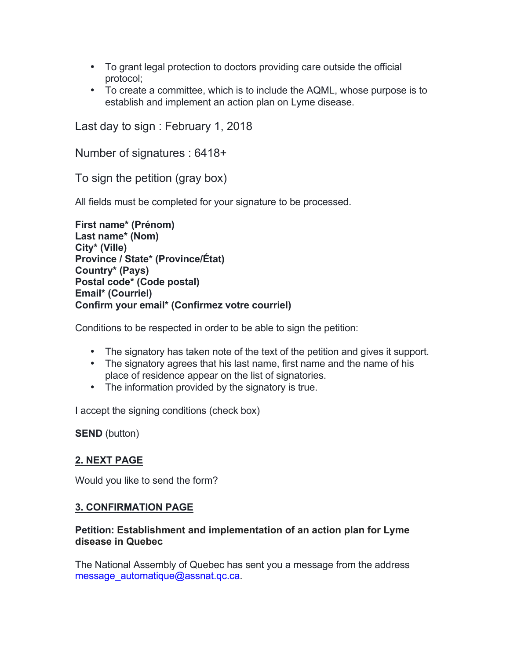- To grant legal protection to doctors providing care outside the official protocol;
- To create a committee, which is to include the AQML, whose purpose is to establish and implement an action plan on Lyme disease.

Last day to sign : February 1, 2018

Number of signatures : 6418+

To sign the petition (gray box)

All fields must be completed for your signature to be processed.

**First name\* (Prénom) Last name\* (Nom) City\* (Ville) Province / State\* (Province/État) Country\* (Pays) Postal code\* (Code postal) Email\* (Courriel) Confirm your email\* (Confirmez votre courriel)**

Conditions to be respected in order to be able to sign the petition:

- The signatory has taken note of the text of the petition and gives it support.
- The signatory agrees that his last name, first name and the name of his place of residence appear on the list of signatories.
- The information provided by the signatory is true.

I accept the signing conditions (check box)

**SEND** (button)

### **2. NEXT PAGE**

Would you like to send the form?

### **3. CONFIRMATION PAGE**

#### **Petition: Establishment and implementation of an action plan for Lyme disease in Quebec**

The National Assembly of Quebec has sent you a message from the address message\_automatique@assnat.qc.ca.